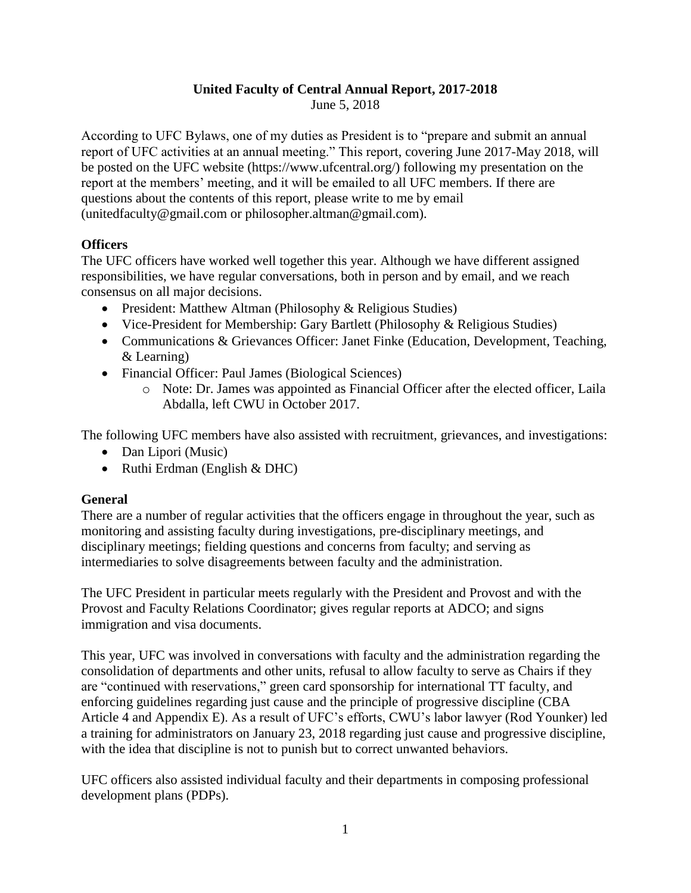# **United Faculty of Central Annual Report, 2017-2018**

June 5, 2018

According to UFC Bylaws, one of my duties as President is to "prepare and submit an annual report of UFC activities at an annual meeting." This report, covering June 2017-May 2018, will be posted on the UFC website (https://www.ufcentral.org/) following my presentation on the report at the members' meeting, and it will be emailed to all UFC members. If there are questions about the contents of this report, please write to me by email (unitedfaculty@gmail.com or philosopher.altman@gmail.com).

## **Officers**

The UFC officers have worked well together this year. Although we have different assigned responsibilities, we have regular conversations, both in person and by email, and we reach consensus on all major decisions.

- President: Matthew Altman (Philosophy & Religious Studies)
- Vice-President for Membership: Gary Bartlett (Philosophy & Religious Studies)
- Communications & Grievances Officer: Janet Finke (Education, Development, Teaching, & Learning)
- Financial Officer: Paul James (Biological Sciences)
	- o Note: Dr. James was appointed as Financial Officer after the elected officer, Laila Abdalla, left CWU in October 2017.

The following UFC members have also assisted with recruitment, grievances, and investigations:

- Dan Lipori (Music)
- Ruthi Erdman (English & DHC)

## **General**

There are a number of regular activities that the officers engage in throughout the year, such as monitoring and assisting faculty during investigations, pre-disciplinary meetings, and disciplinary meetings; fielding questions and concerns from faculty; and serving as intermediaries to solve disagreements between faculty and the administration.

The UFC President in particular meets regularly with the President and Provost and with the Provost and Faculty Relations Coordinator; gives regular reports at ADCO; and signs immigration and visa documents.

This year, UFC was involved in conversations with faculty and the administration regarding the consolidation of departments and other units, refusal to allow faculty to serve as Chairs if they are "continued with reservations," green card sponsorship for international TT faculty, and enforcing guidelines regarding just cause and the principle of progressive discipline (CBA Article 4 and Appendix E). As a result of UFC's efforts, CWU's labor lawyer (Rod Younker) led a training for administrators on January 23, 2018 regarding just cause and progressive discipline, with the idea that discipline is not to punish but to correct unwanted behaviors.

UFC officers also assisted individual faculty and their departments in composing professional development plans (PDPs).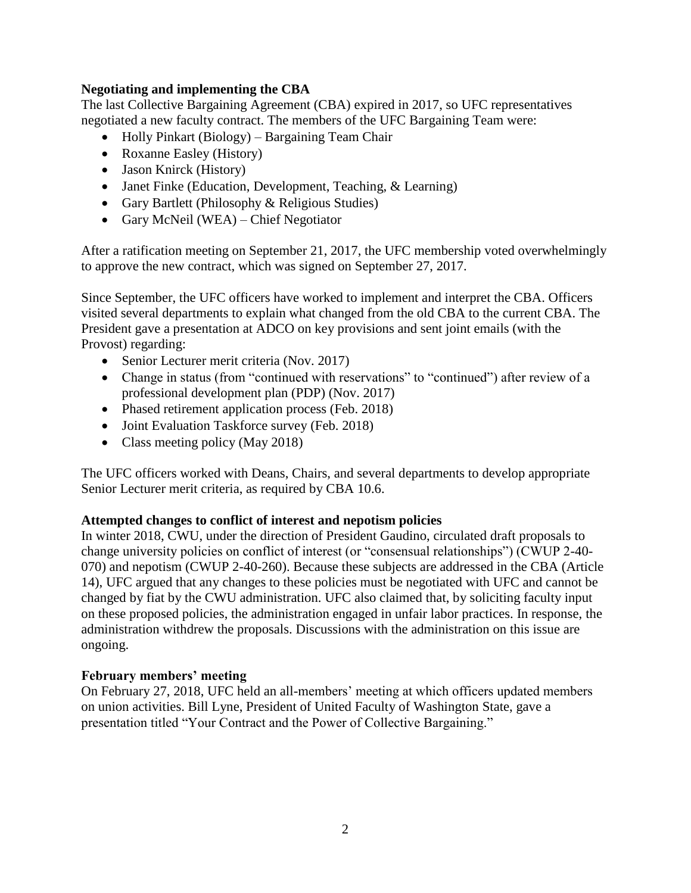### **Negotiating and implementing the CBA**

The last Collective Bargaining Agreement (CBA) expired in 2017, so UFC representatives negotiated a new faculty contract. The members of the UFC Bargaining Team were:

- Holly Pinkart (Biology) Bargaining Team Chair
- Roxanne Easley (History)
- Jason Knirck (History)
- Janet Finke (Education, Development, Teaching, & Learning)
- Gary Bartlett (Philosophy & Religious Studies)
- Gary McNeil (WEA) Chief Negotiator

After a ratification meeting on September 21, 2017, the UFC membership voted overwhelmingly to approve the new contract, which was signed on September 27, 2017.

Since September, the UFC officers have worked to implement and interpret the CBA. Officers visited several departments to explain what changed from the old CBA to the current CBA. The President gave a presentation at ADCO on key provisions and sent joint emails (with the Provost) regarding:

- Senior Lecturer merit criteria (Nov. 2017)
- Change in status (from "continued with reservations" to "continued") after review of a professional development plan (PDP) (Nov. 2017)
- Phased retirement application process (Feb. 2018)
- Joint Evaluation Taskforce survey (Feb. 2018)
- Class meeting policy (May 2018)

The UFC officers worked with Deans, Chairs, and several departments to develop appropriate Senior Lecturer merit criteria, as required by CBA 10.6.

### **Attempted changes to conflict of interest and nepotism policies**

In winter 2018, CWU, under the direction of President Gaudino, circulated draft proposals to change university policies on conflict of interest (or "consensual relationships") (CWUP 2-40- 070) and nepotism (CWUP 2-40-260). Because these subjects are addressed in the CBA (Article 14), UFC argued that any changes to these policies must be negotiated with UFC and cannot be changed by fiat by the CWU administration. UFC also claimed that, by soliciting faculty input on these proposed policies, the administration engaged in unfair labor practices. In response, the administration withdrew the proposals. Discussions with the administration on this issue are ongoing.

### **February members' meeting**

On February 27, 2018, UFC held an all-members' meeting at which officers updated members on union activities. Bill Lyne, President of United Faculty of Washington State, gave a presentation titled "Your Contract and the Power of Collective Bargaining."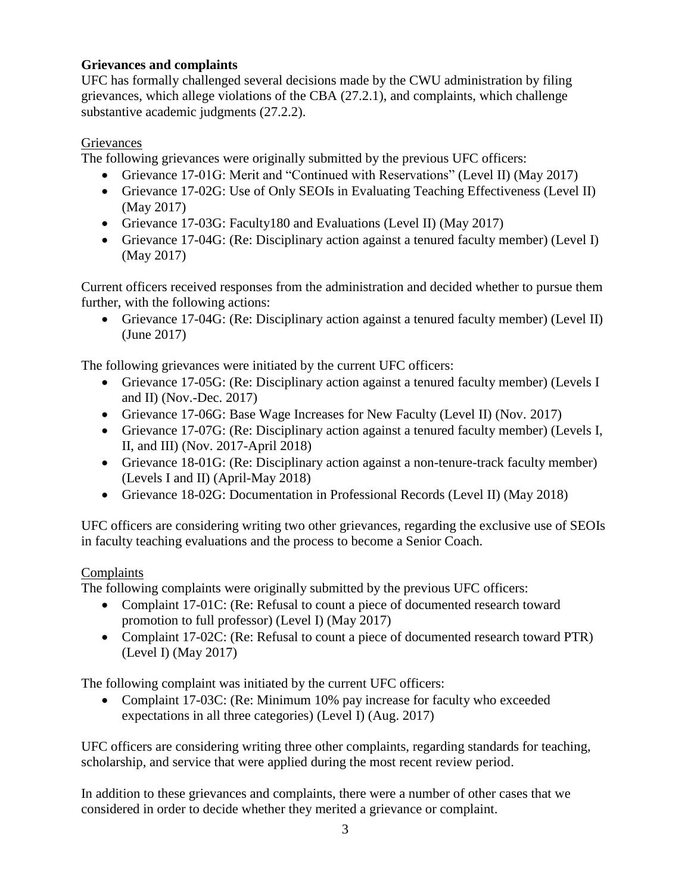# **Grievances and complaints**

UFC has formally challenged several decisions made by the CWU administration by filing grievances, which allege violations of the CBA (27.2.1), and complaints, which challenge substantive academic judgments (27.2.2).

# **Grievances**

The following grievances were originally submitted by the previous UFC officers:

- Grievance 17-01G: Merit and "Continued with Reservations" (Level II) (May 2017)
- Grievance 17-02G: Use of Only SEOIs in Evaluating Teaching Effectiveness (Level II) (May 2017)
- Grievance 17-03G: Faculty180 and Evaluations (Level II) (May 2017)
- Grievance 17-04G: (Re: Disciplinary action against a tenured faculty member) (Level I) (May 2017)

Current officers received responses from the administration and decided whether to pursue them further, with the following actions:

• Grievance 17-04G: (Re: Disciplinary action against a tenured faculty member) (Level II) (June 2017)

The following grievances were initiated by the current UFC officers:

- Grievance 17-05G: (Re: Disciplinary action against a tenured faculty member) (Levels I and II) (Nov.-Dec. 2017)
- Grievance 17-06G: Base Wage Increases for New Faculty (Level II) (Nov. 2017)
- Grievance 17-07G: (Re: Disciplinary action against a tenured faculty member) (Levels I, II, and III) (Nov. 2017-April 2018)
- Grievance 18-01G: (Re: Disciplinary action against a non-tenure-track faculty member) (Levels I and II) (April-May 2018)
- Grievance 18-02G: Documentation in Professional Records (Level II) (May 2018)

UFC officers are considering writing two other grievances, regarding the exclusive use of SEOIs in faculty teaching evaluations and the process to become a Senior Coach.

# Complaints

The following complaints were originally submitted by the previous UFC officers:

- Complaint 17-01C: (Re: Refusal to count a piece of documented research toward promotion to full professor) (Level I) (May 2017)
- Complaint 17-02C: (Re: Refusal to count a piece of documented research toward PTR) (Level I) (May 2017)

The following complaint was initiated by the current UFC officers:

• Complaint 17-03C: (Re: Minimum 10% pay increase for faculty who exceeded expectations in all three categories) (Level I) (Aug. 2017)

UFC officers are considering writing three other complaints, regarding standards for teaching, scholarship, and service that were applied during the most recent review period.

In addition to these grievances and complaints, there were a number of other cases that we considered in order to decide whether they merited a grievance or complaint.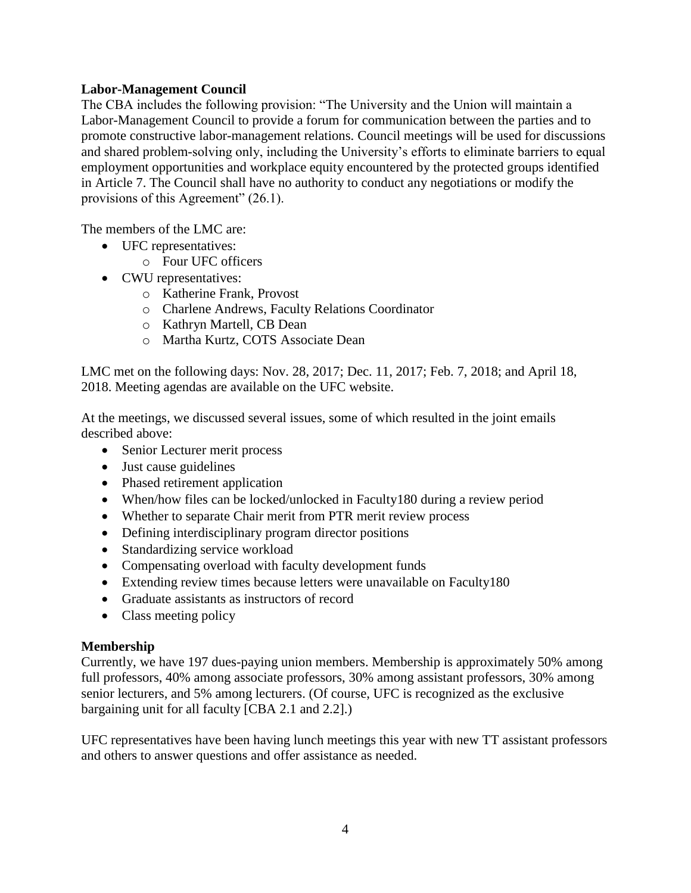### **Labor-Management Council**

The CBA includes the following provision: "The University and the Union will maintain a Labor-Management Council to provide a forum for communication between the parties and to promote constructive labor-management relations. Council meetings will be used for discussions and shared problem-solving only, including the University's efforts to eliminate barriers to equal employment opportunities and workplace equity encountered by the protected groups identified in Article 7. The Council shall have no authority to conduct any negotiations or modify the provisions of this Agreement" (26.1).

The members of the LMC are:

- UFC representatives:
	- o Four UFC officers
- CWU representatives:
	- o Katherine Frank, Provost
	- o Charlene Andrews, Faculty Relations Coordinator
	- o Kathryn Martell, CB Dean
	- o Martha Kurtz, COTS Associate Dean

LMC met on the following days: Nov. 28, 2017; Dec. 11, 2017; Feb. 7, 2018; and April 18, 2018. Meeting agendas are available on the UFC website.

At the meetings, we discussed several issues, some of which resulted in the joint emails described above:

- Senior Lecturer merit process
- Just cause guidelines
- Phased retirement application
- When/how files can be locked/unlocked in Faculty180 during a review period
- Whether to separate Chair merit from PTR merit review process
- Defining interdisciplinary program director positions
- Standardizing service workload
- Compensating overload with faculty development funds
- Extending review times because letters were unavailable on Faculty 180
- Graduate assistants as instructors of record
- Class meeting policy

### **Membership**

Currently, we have 197 dues-paying union members. Membership is approximately 50% among full professors, 40% among associate professors, 30% among assistant professors, 30% among senior lecturers, and 5% among lecturers. (Of course, UFC is recognized as the exclusive bargaining unit for all faculty [CBA 2.1 and 2.2].)

UFC representatives have been having lunch meetings this year with new TT assistant professors and others to answer questions and offer assistance as needed.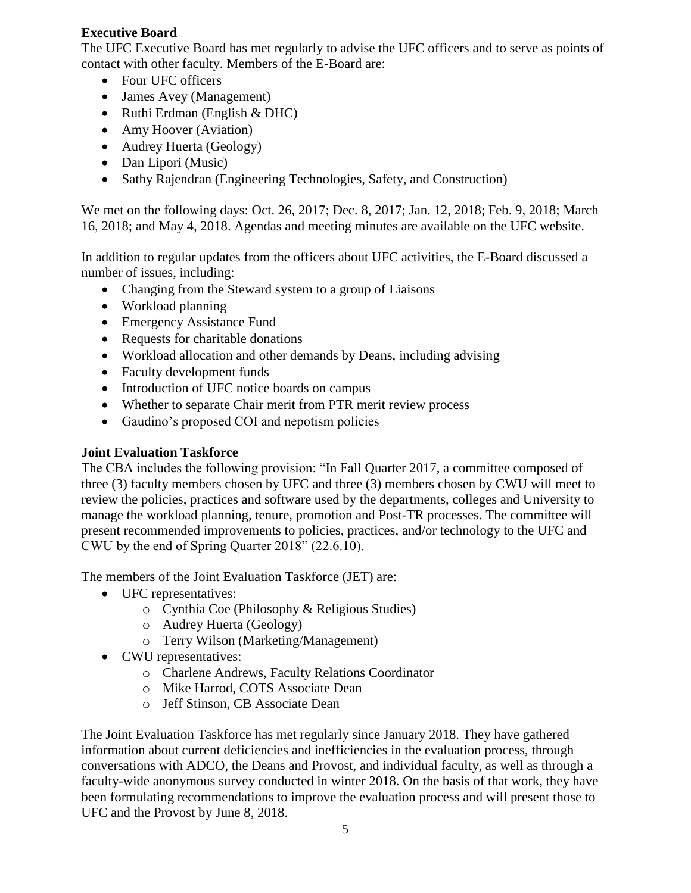## **Executive Board**

The UFC Executive Board has met regularly to advise the UFC officers and to serve as points of contact with other faculty. Members of the E-Board are:

- Four UFC officers
- James Avey (Management)
- Ruthi Erdman (English & DHC)
- Amy Hoover (Aviation)
- Audrey Huerta (Geology)
- Dan Lipori (Music)
- Sathy Rajendran (Engineering Technologies, Safety, and Construction)

We met on the following days: Oct. 26, 2017; Dec. 8, 2017; Jan. 12, 2018; Feb. 9, 2018; March 16, 2018; and May 4, 2018. Agendas and meeting minutes are available on the UFC website.

In addition to regular updates from the officers about UFC activities, the E-Board discussed a number of issues, including:

- Changing from the Steward system to a group of Liaisons
- Workload planning
- Emergency Assistance Fund
- Requests for charitable donations
- Workload allocation and other demands by Deans, including advising
- Faculty development funds
- Introduction of UFC notice boards on campus
- Whether to separate Chair merit from PTR merit review process
- Gaudino's proposed COI and nepotism policies

## **Joint Evaluation Taskforce**

The CBA includes the following provision: "In Fall Quarter 2017, a committee composed of three (3) faculty members chosen by UFC and three (3) members chosen by CWU will meet to review the policies, practices and software used by the departments, colleges and University to manage the workload planning, tenure, promotion and Post-TR processes. The committee will present recommended improvements to policies, practices, and/or technology to the UFC and CWU by the end of Spring Quarter 2018" (22.6.10).

The members of the Joint Evaluation Taskforce (JET) are:

- UFC representatives:
	- o Cynthia Coe (Philosophy & Religious Studies)
	- o Audrey Huerta (Geology)
	- o Terry Wilson (Marketing/Management)
- CWU representatives:
	- o Charlene Andrews, Faculty Relations Coordinator
	- o Mike Harrod, COTS Associate Dean
	- o Jeff Stinson, CB Associate Dean

The Joint Evaluation Taskforce has met regularly since January 2018. They have gathered information about current deficiencies and inefficiencies in the evaluation process, through conversations with ADCO, the Deans and Provost, and individual faculty, as well as through a faculty-wide anonymous survey conducted in winter 2018. On the basis of that work, they have been formulating recommendations to improve the evaluation process and will present those to UFC and the Provost by June 8, 2018.